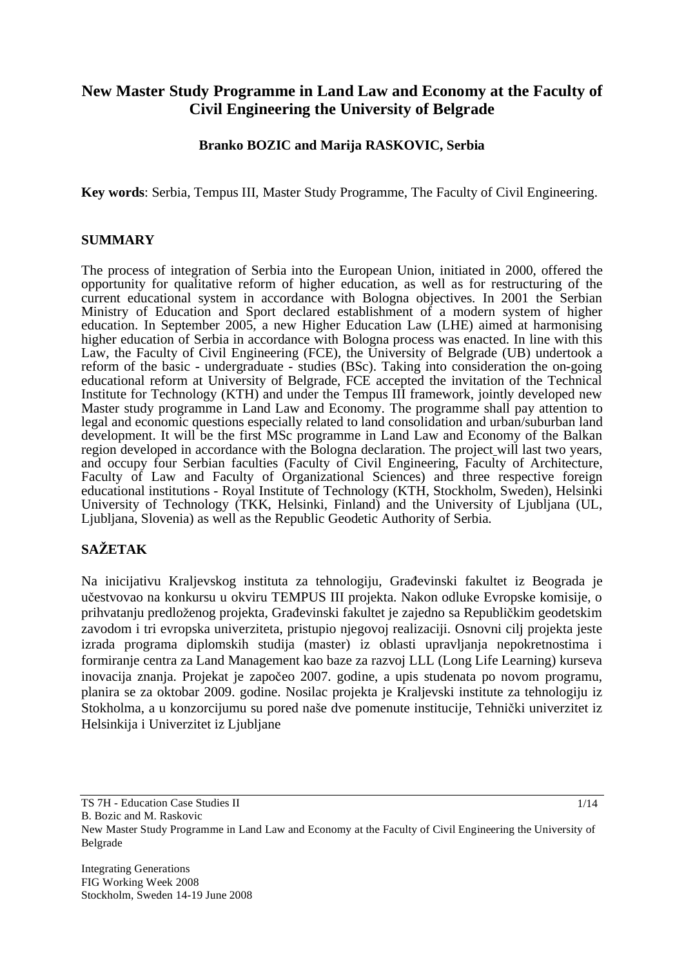# **New Master Study Programme in Land Law and Economy at the Faculty of Civil Engineering the University of Belgrade**

## **Branko BOZIC and Marija RASKOVIC, Serbia**

**Key words**: Serbia, Tempus III, Master Study Programme, The Faculty of Civil Engineering.

#### **SUMMARY**

The process of integration of Serbia into the European Union, initiated in 2000, offered the opportunity for qualitative reform of higher education, as well as for restructuring of the current educational system in accordance with Bologna objectives. In 2001 the Serbian Ministry of Education and Sport declared establishment of a modern system of higher education. In September 2005, a new Higher Education Law (LHE) aimed at harmonising higher education of Serbia in accordance with Bologna process was enacted. In line with this Law, the Faculty of Civil Engineering (FCE), the University of Belgrade (UB) undertook a reform of the basic - undergraduate - studies (BSc). Taking into consideration the on-going educational reform at University of Belgrade, FCE accepted the invitation of the Technical Institute for Technology (KTH) and under the Tempus III framework, jointly developed new Master study programme in Land Law and Economy. The programme shall pay attention to legal and economic questions especially related to land consolidation and urban/suburban land development. It will be the first MSc programme in Land Law and Economy of the Balkan region developed in accordance with the Bologna declaration. The project will last two years, and occupy four Serbian faculties (Faculty of Civil Engineering, Faculty of Architecture, Faculty of Law and Faculty of Organizational Sciences) and three respective foreign educational institutions - Royal Institute of Technology (KTH, Stockholm, Sweden), Helsinki University of Technology (TKK, Helsinki, Finland) and the University of Ljubljana (UL, Ljubljana, Slovenia) as well as the Republic Geodetic Authority of Serbia.

# **SAETAK**

Na inicijativu Kraljevskog instituta za tehnologiju, Građevinski fakultet iz Beograda je učestvovao na konkursu u okviru TEMPUS III projekta. Nakon odluke Evropske komisije, o prihvatanju predloženog projekta, Građevinski fakultet je zajedno sa Republičkim geodetskim zavodom i tri evropska univerziteta, pristupio njegovoj realizaciji. Osnovni cilj projekta jeste izrada programa diplomskih studija (master) iz oblasti upravljanja nepokretnostima i formiranje centra za Land Management kao baze za razvoj LLL (Long Life Learning) kurseva inovacija znanja. Projekat je započeo 2007. godine, a upis studenata po novom programu, planira se za oktobar 2009. godine. Nosilac projekta je Kraljevski institute za tehnologiju iz Stokholma, a u konzorcijumu su pored naše dve pomenute institucije, Tehnički univerzitet iz Helsinkija i Univerzitet iz Ljubljane

B. Bozic and M. Raskovic

Integrating Generations FIG Working Week 2008 Stockholm, Sweden 14-19 June 2008

TS 7H - Education Case Studies II

New Master Study Programme in Land Law and Economy at the Faculty of Civil Engineering the University of Belgrade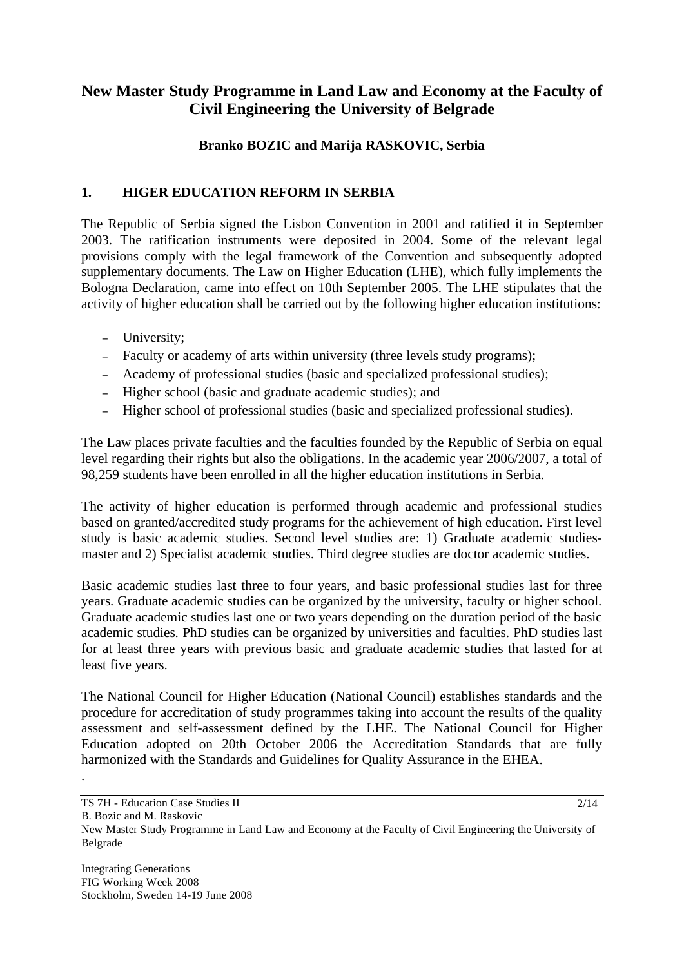# **New Master Study Programme in Land Law and Economy at the Faculty of Civil Engineering the University of Belgrade**

## **Branko BOZIC and Marija RASKOVIC, Serbia**

## **1. HIGER EDUCATION REFORM IN SERBIA**

The Republic of Serbia signed the Lisbon Convention in 2001 and ratified it in September 2003. The ratification instruments were deposited in 2004. Some of the relevant legal provisions comply with the legal framework of the Convention and subsequently adopted supplementary documents. The Law on Higher Education (LHE), which fully implements the Bologna Declaration, came into effect on 10th September 2005. The LHE stipulates that the activity of higher education shall be carried out by the following higher education institutions:

- University;
- Faculty or academy of arts within university (three levels study programs);
- Academy of professional studies (basic and specialized professional studies);
- Higher school (basic and graduate academic studies); and
- Higher school of professional studies (basic and specialized professional studies).

The Law places private faculties and the faculties founded by the Republic of Serbia on equal level regarding their rights but also the obligations. In the academic year 2006/2007, a total of 98,259 students have been enrolled in all the higher education institutions in Serbia.

The activity of higher education is performed through academic and professional studies based on granted/accredited study programs for the achievement of high education. First level study is basic academic studies. Second level studies are: 1) Graduate academic studiesmaster and 2) Specialist academic studies. Third degree studies are doctor academic studies.

Basic academic studies last three to four years, and basic professional studies last for three years. Graduate academic studies can be organized by the university, faculty or higher school. Graduate academic studies last one or two years depending on the duration period of the basic academic studies. PhD studies can be organized by universities and faculties. PhD studies last for at least three years with previous basic and graduate academic studies that lasted for at least five years.

The National Council for Higher Education (National Council) establishes standards and the procedure for accreditation of study programmes taking into account the results of the quality assessment and self-assessment defined by the LHE. The National Council for Higher Education adopted on 20th October 2006 the Accreditation Standards that are fully harmonized with the Standards and Guidelines for Quality Assurance in the EHEA.

B. Bozic and M. Raskovic

.

TS 7H - Education Case Studies II

New Master Study Programme in Land Law and Economy at the Faculty of Civil Engineering the University of Belgrade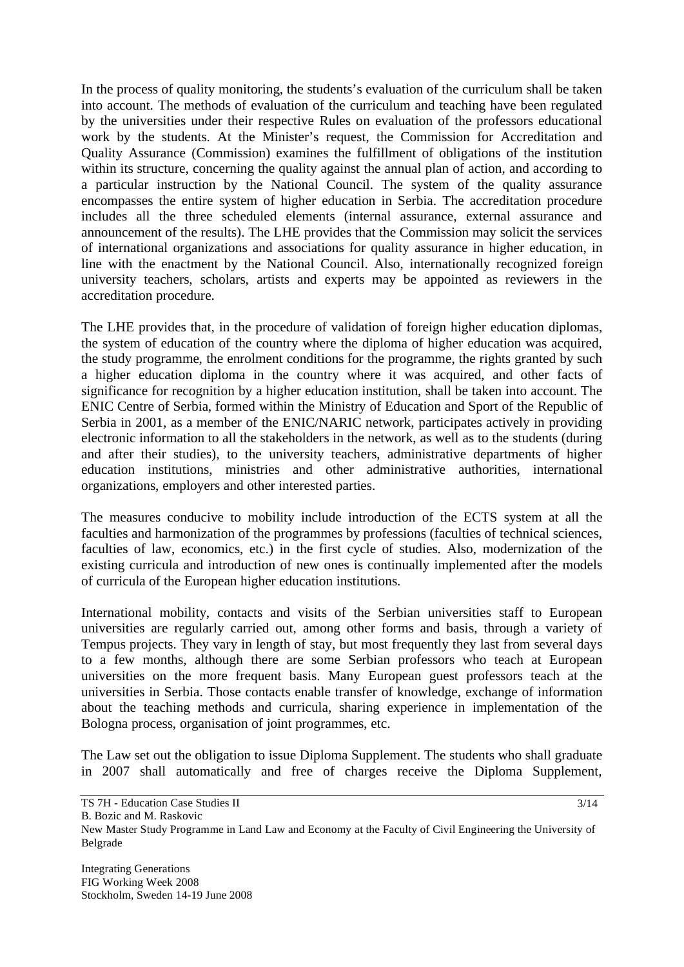In the process of quality monitoring, the students's evaluation of the curriculum shall be taken into account. The methods of evaluation of the curriculum and teaching have been regulated by the universities under their respective Rules on evaluation of the professors educational work by the students. At the Minister's request, the Commission for Accreditation and Quality Assurance (Commission) examines the fulfillment of obligations of the institution within its structure, concerning the quality against the annual plan of action, and according to a particular instruction by the National Council. The system of the quality assurance encompasses the entire system of higher education in Serbia. The accreditation procedure includes all the three scheduled elements (internal assurance, external assurance and announcement of the results). The LHE provides that the Commission may solicit the services of international organizations and associations for quality assurance in higher education, in line with the enactment by the National Council. Also, internationally recognized foreign university teachers, scholars, artists and experts may be appointed as reviewers in the accreditation procedure.

The LHE provides that, in the procedure of validation of foreign higher education diplomas, the system of education of the country where the diploma of higher education was acquired, the study programme, the enrolment conditions for the programme, the rights granted by such a higher education diploma in the country where it was acquired, and other facts of significance for recognition by a higher education institution, shall be taken into account. The ENIC Centre of Serbia, formed within the Ministry of Education and Sport of the Republic of Serbia in 2001, as a member of the ENIC/NARIC network, participates actively in providing electronic information to all the stakeholders in the network, as well as to the students (during and after their studies), to the university teachers, administrative departments of higher education institutions, ministries and other administrative authorities, international organizations, employers and other interested parties.

The measures conducive to mobility include introduction of the ECTS system at all the faculties and harmonization of the programmes by professions (faculties of technical sciences, faculties of law, economics, etc.) in the first cycle of studies. Also, modernization of the existing curricula and introduction of new ones is continually implemented after the models of curricula of the European higher education institutions.

International mobility, contacts and visits of the Serbian universities staff to European universities are regularly carried out, among other forms and basis, through a variety of Tempus projects. They vary in length of stay, but most frequently they last from several days to a few months, although there are some Serbian professors who teach at European universities on the more frequent basis. Many European guest professors teach at the universities in Serbia. Those contacts enable transfer of knowledge, exchange of information about the teaching methods and curricula, sharing experience in implementation of the Bologna process, organisation of joint programmes, etc.

The Law set out the obligation to issue Diploma Supplement. The students who shall graduate in 2007 shall automatically and free of charges receive the Diploma Supplement,

TS 7H - Education Case Studies II

B. Bozic and M. Raskovic

New Master Study Programme in Land Law and Economy at the Faculty of Civil Engineering the University of Belgrade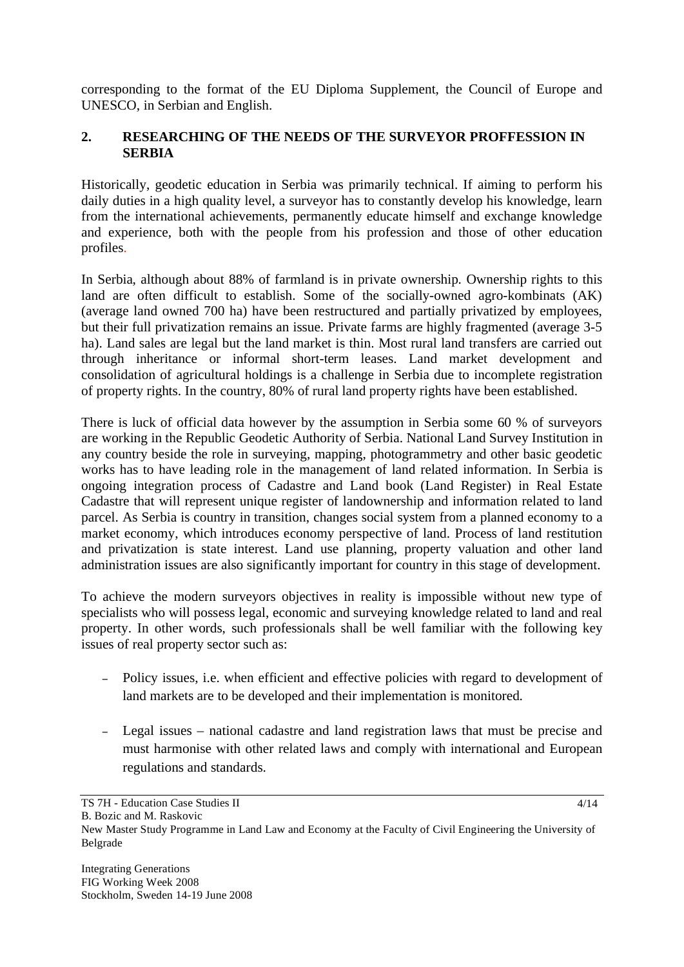corresponding to the format of the EU Diploma Supplement, the Council of Europe and UNESCO, in Serbian and English.

## **2. RESEARCHING OF THE NEEDS OF THE SURVEYOR PROFFESSION IN SERBIA**

Historically, geodetic education in Serbia was primarily technical. If aiming to perform his daily duties in a high quality level, a surveyor has to constantly develop his knowledge, learn from the international achievements, permanently educate himself and exchange knowledge and experience, both with the people from his profession and those of other education profiles.

In Serbia, although about 88% of farmland is in private ownership. Ownership rights to this land are often difficult to establish. Some of the socially-owned agro-kombinats (AK) (average land owned 700 ha) have been restructured and partially privatized by employees, but their full privatization remains an issue. Private farms are highly fragmented (average 3-5 ha). Land sales are legal but the land market is thin. Most rural land transfers are carried out through inheritance or informal short-term leases. Land market development and consolidation of agricultural holdings is a challenge in Serbia due to incomplete registration of property rights. In the country, 80% of rural land property rights have been established.

There is luck of official data however by the assumption in Serbia some 60 % of surveyors are working in the Republic Geodetic Authority of Serbia. National Land Survey Institution in any country beside the role in surveying, mapping, photogrammetry and other basic geodetic works has to have leading role in the management of land related information. In Serbia is ongoing integration process of Cadastre and Land book (Land Register) in Real Estate Cadastre that will represent unique register of landownership and information related to land parcel. As Serbia is country in transition, changes social system from a planned economy to a market economy, which introduces economy perspective of land. Process of land restitution and privatization is state interest. Land use planning, property valuation and other land administration issues are also significantly important for country in this stage of development.

To achieve the modern surveyors objectives in reality is impossible without new type of specialists who will possess legal, economic and surveying knowledge related to land and real property. In other words, such professionals shall be well familiar with the following key issues of real property sector such as:

- Policy issues, i.e. when efficient and effective policies with regard to development of land markets are to be developed and their implementation is monitored.
- Legal issues national cadastre and land registration laws that must be precise and must harmonise with other related laws and comply with international and European regulations and standards.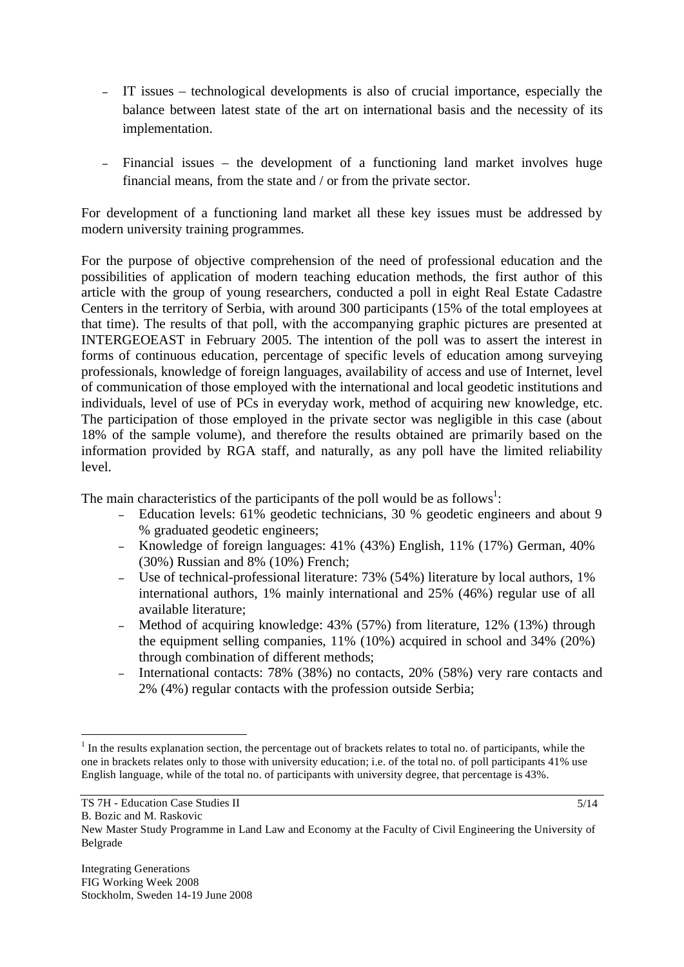- IT issues technological developments is also of crucial importance, especially the balance between latest state of the art on international basis and the necessity of its implementation.
- Financial issues the development of a functioning land market involves huge financial means, from the state and / or from the private sector.

For development of a functioning land market all these key issues must be addressed by modern university training programmes.

For the purpose of objective comprehension of the need of professional education and the possibilities of application of modern teaching education methods, the first author of this article with the group of young researchers, conducted a poll in eight Real Estate Cadastre Centers in the territory of Serbia, with around 300 participants (15% of the total employees at that time). The results of that poll, with the accompanying graphic pictures are presented at INTERGEOEAST in February 2005. The intention of the poll was to assert the interest in forms of continuous education, percentage of specific levels of education among surveying professionals, knowledge of foreign languages, availability of access and use of Internet, level of communication of those employed with the international and local geodetic institutions and individuals, level of use of PCs in everyday work, method of acquiring new knowledge, etc. The participation of those employed in the private sector was negligible in this case (about 18% of the sample volume), and therefore the results obtained are primarily based on the information provided by RGA staff, and naturally, as any poll have the limited reliability level.

The main characteristics of the participants of the poll would be as follows<sup>1</sup>:

- Education levels: 61% geodetic technicians, 30 % geodetic engineers and about 9 % graduated geodetic engineers;
- Knowledge of foreign languages: 41% (43%) English, 11% (17%) German, 40% (30%) Russian and 8% (10%) French;
- Use of technical-professional literature: 73% (54%) literature by local authors, 1% international authors, 1% mainly international and 25% (46%) regular use of all available literature;
- Method of acquiring knowledge: 43% (57%) from literature, 12% (13%) through the equipment selling companies, 11% (10%) acquired in school and 34% (20%) through combination of different methods;
- International contacts: 78% (38%) no contacts, 20% (58%) very rare contacts and 2% (4%) regular contacts with the profession outside Serbia;

 $\overline{a}$ 

 $1$  In the results explanation section, the percentage out of brackets relates to total no. of participants, while the one in brackets relates only to those with university education; i.e. of the total no. of poll participants 41% use English language, while of the total no. of participants with university degree, that percentage is 43%.

TS 7H - Education Case Studies II

B. Bozic and M. Raskovic

New Master Study Programme in Land Law and Economy at the Faculty of Civil Engineering the University of Belgrade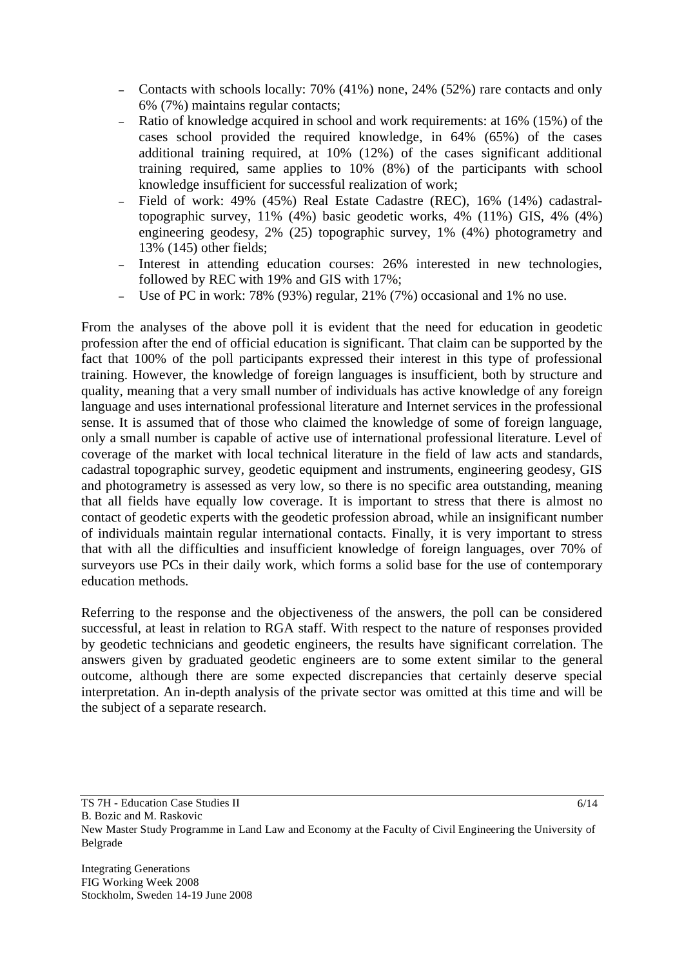- Contacts with schools locally: 70% (41%) none, 24% (52%) rare contacts and only 6% (7%) maintains regular contacts;
- Ratio of knowledge acquired in school and work requirements: at 16% (15%) of the cases school provided the required knowledge, in 64% (65%) of the cases additional training required, at 10% (12%) of the cases significant additional training required, same applies to 10% (8%) of the participants with school knowledge insufficient for successful realization of work;
- Field of work: 49% (45%) Real Estate Cadastre (REC), 16% (14%) cadastraltopographic survey, 11% (4%) basic geodetic works, 4% (11%) GIS, 4% (4%) engineering geodesy, 2% (25) topographic survey, 1% (4%) photogrametry and 13% (145) other fields;
- Interest in attending education courses: 26% interested in new technologies, followed by REC with 19% and GIS with 17%;
- Use of PC in work: 78% (93%) regular, 21% (7%) occasional and 1% no use.

From the analyses of the above poll it is evident that the need for education in geodetic profession after the end of official education is significant. That claim can be supported by the fact that 100% of the poll participants expressed their interest in this type of professional training. However, the knowledge of foreign languages is insufficient, both by structure and quality, meaning that a very small number of individuals has active knowledge of any foreign language and uses international professional literature and Internet services in the professional sense. It is assumed that of those who claimed the knowledge of some of foreign language, only a small number is capable of active use of international professional literature. Level of coverage of the market with local technical literature in the field of law acts and standards, cadastral topographic survey, geodetic equipment and instruments, engineering geodesy, GIS and photogrametry is assessed as very low, so there is no specific area outstanding, meaning that all fields have equally low coverage. It is important to stress that there is almost no contact of geodetic experts with the geodetic profession abroad, while an insignificant number of individuals maintain regular international contacts. Finally, it is very important to stress that with all the difficulties and insufficient knowledge of foreign languages, over 70% of surveyors use PCs in their daily work, which forms a solid base for the use of contemporary education methods.

Referring to the response and the objectiveness of the answers, the poll can be considered successful, at least in relation to RGA staff. With respect to the nature of responses provided by geodetic technicians and geodetic engineers, the results have significant correlation. The answers given by graduated geodetic engineers are to some extent similar to the general outcome, although there are some expected discrepancies that certainly deserve special interpretation. An in-depth analysis of the private sector was omitted at this time and will be the subject of a separate research.

B. Bozic and M. Raskovic

Integrating Generations FIG Working Week 2008 Stockholm, Sweden 14-19 June 2008

TS 7H - Education Case Studies II

New Master Study Programme in Land Law and Economy at the Faculty of Civil Engineering the University of Belgrade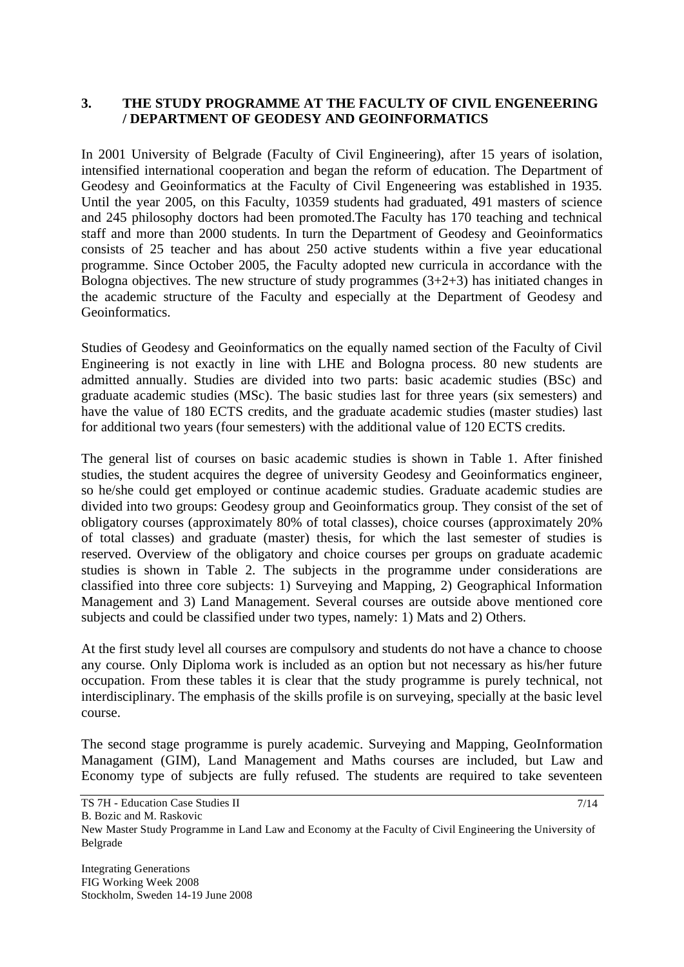### **3. THE STUDY PROGRAMME AT THE FACULTY OF CIVIL ENGENEERING / DEPARTMENT OF GEODESY AND GEOINFORMATICS**

In 2001 University of Belgrade (Faculty of Civil Engineering), after 15 years of isolation, intensified international cooperation and began the reform of education. The Department of Geodesy and Geoinformatics at the Faculty of Civil Engeneering was established in 1935. Until the year 2005, on this Faculty, 10359 students had graduated, 491 masters of science and 245 philosophy doctors had been promoted.The Faculty has 170 teaching and technical staff and more than 2000 students. In turn the Department of Geodesy and Geoinformatics consists of 25 teacher and has about 250 active students within a five year educational programme. Since October 2005, the Faculty adopted new curricula in accordance with the Bologna objectives. The new structure of study programmes  $(3+2+3)$  has initiated changes in the academic structure of the Faculty and especially at the Department of Geodesy and Geoinformatics.

Studies of Geodesy and Geoinformatics on the equally named section of the Faculty of Civil Engineering is not exactly in line with LHE and Bologna process. 80 new students are admitted annually. Studies are divided into two parts: basic academic studies (BSc) and graduate academic studies (MSc). The basic studies last for three years (six semesters) and have the value of 180 ECTS credits, and the graduate academic studies (master studies) last for additional two years (four semesters) with the additional value of 120 ECTS credits.

The general list of courses on basic academic studies is shown in Table 1. After finished studies, the student acquires the degree of university Geodesy and Geoinformatics engineer, so he/she could get employed or continue academic studies. Graduate academic studies are divided into two groups: Geodesy group and Geoinformatics group. They consist of the set of obligatory courses (approximately 80% of total classes), choice courses (approximately 20% of total classes) and graduate (master) thesis, for which the last semester of studies is reserved. Overview of the obligatory and choice courses per groups on graduate academic studies is shown in Table 2. The subjects in the programme under considerations are classified into three core subjects: 1) Surveying and Mapping, 2) Geographical Information Management and 3) Land Management. Several courses are outside above mentioned core subjects and could be classified under two types, namely: 1) Mats and 2) Others.

At the first study level all courses are compulsory and students do not have a chance to choose any course. Only Diploma work is included as an option but not necessary as his/her future occupation. From these tables it is clear that the study programme is purely technical, not interdisciplinary. The emphasis of the skills profile is on surveying, specially at the basic level course.

The second stage programme is purely academic. Surveying and Mapping, GeoInformation Managament (GIM), Land Management and Maths courses are included, but Law and Economy type of subjects are fully refused. The students are required to take seventeen

New Master Study Programme in Land Law and Economy at the Faculty of Civil Engineering the University of Belgrade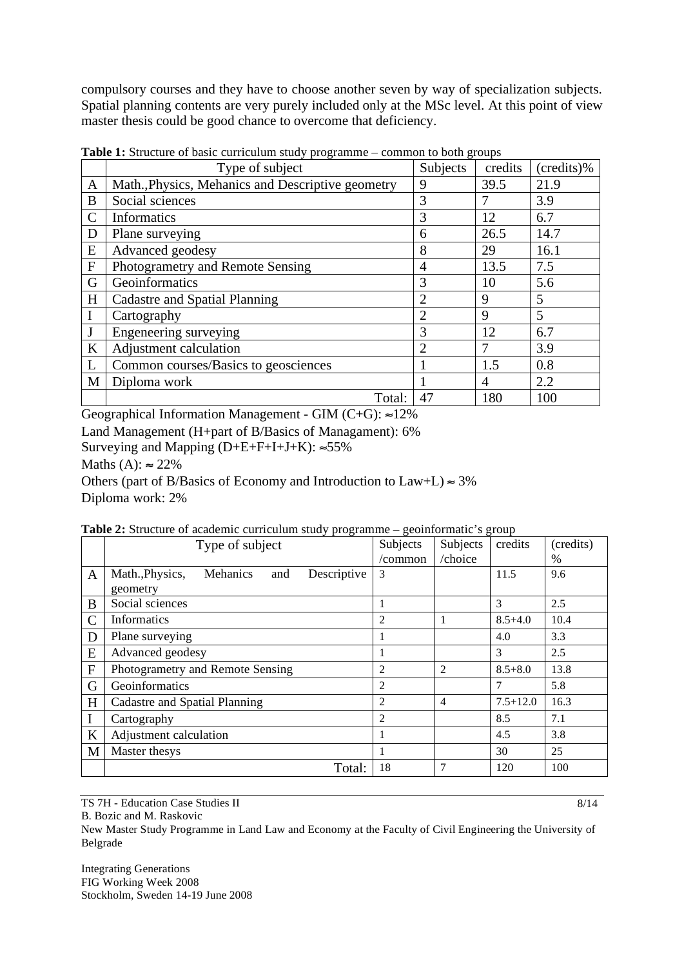compulsory courses and they have to choose another seven by way of specialization subjects. Spatial planning contents are very purely included only at the MSc level. At this point of view master thesis could be good chance to overcome that deficiency.

|                | <b>rapic 1.</b> Diracture of basic curriculum stacy programme common to both groups |                |         |            |  |  |  |  |
|----------------|-------------------------------------------------------------------------------------|----------------|---------|------------|--|--|--|--|
|                | Type of subject                                                                     | Subjects       | credits | (credits)% |  |  |  |  |
| A              | Math., Physics, Mehanics and Descriptive geometry                                   | 9              | 39.5    | 21.9       |  |  |  |  |
| B              | Social sciences                                                                     | 3              |         | 3.9        |  |  |  |  |
| $\mathcal{C}$  | Informatics                                                                         | 3              | 12      | 6.7        |  |  |  |  |
| D              | Plane surveying                                                                     | 6              | 26.5    | 14.7       |  |  |  |  |
| E              | Advanced geodesy                                                                    | 8              | 29      | 16.1       |  |  |  |  |
| $\overline{F}$ | Photogrametry and Remote Sensing                                                    | 4              | 13.5    | 7.5        |  |  |  |  |
| G              | Geoinformatics                                                                      | 3              | 10      | 5.6        |  |  |  |  |
| H              | Cadastre and Spatial Planning                                                       | $\overline{2}$ | 9       | 5          |  |  |  |  |
|                | Cartography                                                                         | $\overline{2}$ | 9       | 5          |  |  |  |  |
|                | Engeneering surveying                                                               | 3              | 12      | 6.7        |  |  |  |  |
| K              | Adjustment calculation                                                              | 2              |         | 3.9        |  |  |  |  |
| L              | Common courses/Basics to geosciences                                                |                | 1.5     | 0.8        |  |  |  |  |
| M              | Diploma work                                                                        |                | 4       | 2.2        |  |  |  |  |
|                | Total:                                                                              | 47             | 180     | 100        |  |  |  |  |

**Table 1:** Structure of basic curriculum study programme – common to both groups

Geographical Information Management - GIM  $(C+G)$ :  $\approx$ 12%

Land Management (H+part of B/Basics of Managament): 6%

Surveying and Mapping  $(D+E+F+I+J+K): \approx 55\%$ 

Maths (A):  $\approx 22\%$ 

Others (part of B/Basics of Economy and Introduction to  $Law+L \approx 3\%$ Diploma work: 2%

| Table 2: Structure of academic curriculum study programme - geoinformatic's group |  |  |  |
|-----------------------------------------------------------------------------------|--|--|--|
|-----------------------------------------------------------------------------------|--|--|--|

|             | Type of subject                                   | Subjects       | Subjects | credits      | (credits)     |
|-------------|---------------------------------------------------|----------------|----------|--------------|---------------|
|             |                                                   | /common        | /choice  |              | $\frac{0}{0}$ |
| A           | Math., Physics,<br>Mehanics<br>Descriptive<br>and | 3              |          | 11.5         | 9.6           |
|             | geometry                                          |                |          |              |               |
| B           | Social sciences                                   |                |          | 3            | 2.5           |
| C           | Informatics                                       | 2              | 1        | $8.5 + 4.0$  | 10.4          |
| D           | Plane surveying                                   |                |          | 4.0          | 3.3           |
| E           | Advanced geodesy                                  | 1              |          | 3            | 2.5           |
| $\mathbf F$ | Photogrametry and Remote Sensing                  | 2              | 2        | $8.5 + 8.0$  | 13.8          |
| G           | Geoinformatics                                    | $\overline{2}$ |          | 7            | 5.8           |
| H           | Cadastre and Spatial Planning                     | 2              | 4        | $7.5 + 12.0$ | 16.3          |
|             | Cartography                                       | $\overline{2}$ |          | 8.5          | 7.1           |
| $\bf K$     | Adjustment calculation                            |                |          | 4.5          | 3.8           |
| M           | Master thesys                                     |                |          | 30           | 25            |
|             | Total:                                            | 18             | 7        | 120          | 100           |

TS 7H - Education Case Studies II

B. Bozic and M. Raskovic

New Master Study Programme in Land Law and Economy at the Faculty of Civil Engineering the University of Belgrade

Integrating Generations FIG Working Week 2008 Stockholm, Sweden 14-19 June 2008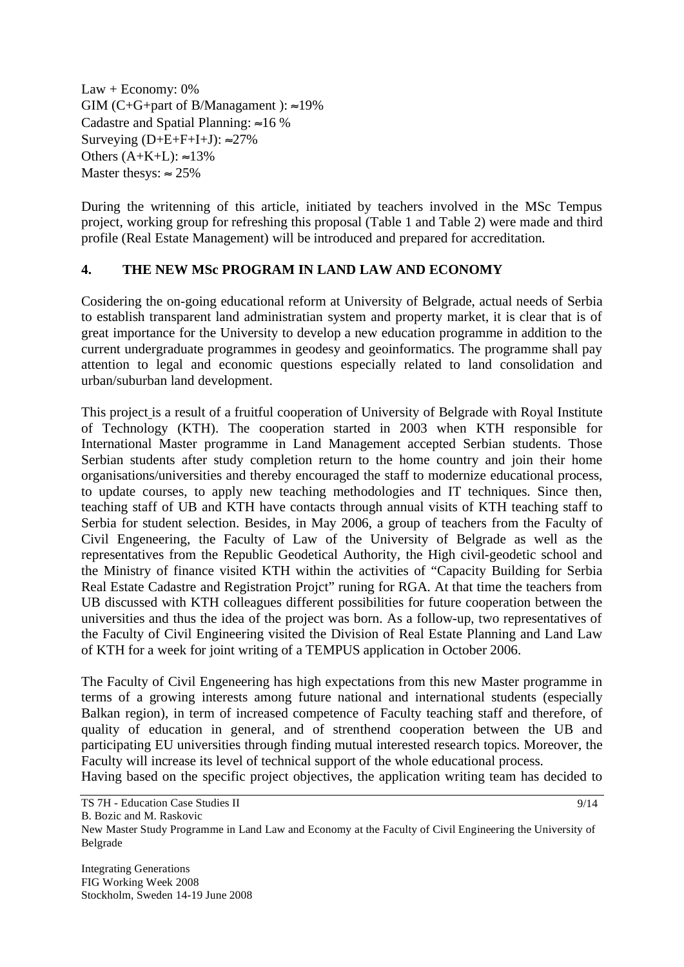Law + Economy: 0% GIM (C+G+part of B/Managament):  $\approx$ 19% Cadastre and Spatial Planning:  $\approx 16 \%$ Surveying  $(D+E+F+I+J): \approx 27\%$ Others  $(A+K+L): \approx 13\%$ Master thesys:  $\approx 25\%$ 

During the writenning of this article, initiated by teachers involved in the MSc Tempus project, working group for refreshing this proposal (Table 1 and Table 2) were made and third profile (Real Estate Management) will be introduced and prepared for accreditation.

#### **4. THE NEW MSc PROGRAM IN LAND LAW AND ECONOMY**

Cosidering the on-going educational reform at University of Belgrade, actual needs of Serbia to establish transparent land administratian system and property market, it is clear that is of great importance for the University to develop a new education programme in addition to the current undergraduate programmes in geodesy and geoinformatics. The programme shall pay attention to legal and economic questions especially related to land consolidation and urban/suburban land development.

This project is a result of a fruitful cooperation of University of Belgrade with Royal Institute of Technology (KTH). The cooperation started in 2003 when KTH responsible for International Master programme in Land Management accepted Serbian students. Those Serbian students after study completion return to the home country and join their home organisations/universities and thereby encouraged the staff to modernize educational process, to update courses, to apply new teaching methodologies and IT techniques. Since then, teaching staff of UB and KTH have contacts through annual visits of KTH teaching staff to Serbia for student selection. Besides, in May 2006, a group of teachers from the Faculty of Civil Engeneering, the Faculty of Law of the University of Belgrade as well as the representatives from the Republic Geodetical Authority, the High civil-geodetic school and the Ministry of finance visited KTH within the activities of "Capacity Building for Serbia Real Estate Cadastre and Registration Projct" runing for RGA. At that time the teachers from UB discussed with KTH colleagues different possibilities for future cooperation between the universities and thus the idea of the project was born. As a follow-up, two representatives of the Faculty of Civil Engineering visited the Division of Real Estate Planning and Land Law of KTH for a week for joint writing of a TEMPUS application in October 2006.

The Faculty of Civil Engeneering has high expectations from this new Master programme in terms of a growing interests among future national and international students (especially Balkan region), in term of increased competence of Faculty teaching staff and therefore, of quality of education in general, and of strenthend cooperation between the UB and participating EU universities through finding mutual interested research topics. Moreover, the Faculty will increase its level of technical support of the whole educational process.

Having based on the specific project objectives, the application writing team has decided to

B. Bozic and M. Raskovic

New Master Study Programme in Land Law and Economy at the Faculty of Civil Engineering the University of Belgrade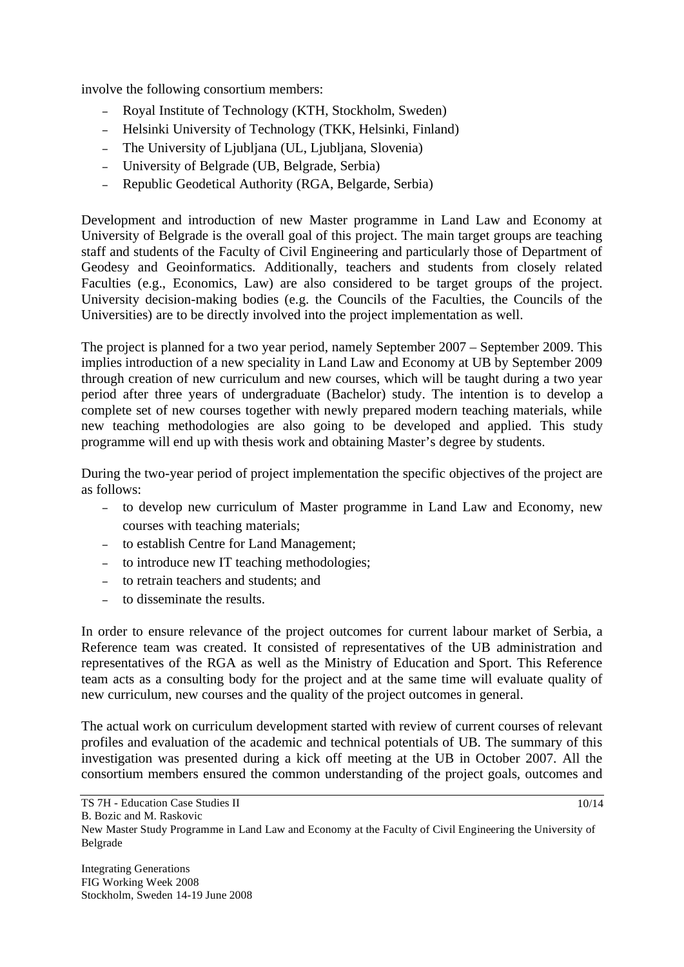involve the following consortium members:

- Royal Institute of Technology (KTH, Stockholm, Sweden)
- Helsinki University of Technology (TKK, Helsinki, Finland)
- The University of Ljubljana (UL, Ljubljana, Slovenia)
- University of Belgrade (UB, Belgrade, Serbia)
- Republic Geodetical Authority (RGA, Belgarde, Serbia)

Development and introduction of new Master programme in Land Law and Economy at University of Belgrade is the overall goal of this project. The main target groups are teaching staff and students of the Faculty of Civil Engineering and particularly those of Department of Geodesy and Geoinformatics. Additionally, teachers and students from closely related Faculties (e.g., Economics, Law) are also considered to be target groups of the project. University decision-making bodies (e.g. the Councils of the Faculties, the Councils of the Universities) are to be directly involved into the project implementation as well.

The project is planned for a two year period, namely September 2007 – September 2009. This implies introduction of a new speciality in Land Law and Economy at UB by September 2009 through creation of new curriculum and new courses, which will be taught during a two year period after three years of undergraduate (Bachelor) study. The intention is to develop a complete set of new courses together with newly prepared modern teaching materials, while new teaching methodologies are also going to be developed and applied. This study programme will end up with thesis work and obtaining Master's degree by students.

During the two-year period of project implementation the specific objectives of the project are as follows:

- to develop new curriculum of Master programme in Land Law and Economy, new courses with teaching materials;
- to establish Centre for Land Management;
- to introduce new IT teaching methodologies;
- to retrain teachers and students; and
- to disseminate the results.

In order to ensure relevance of the project outcomes for current labour market of Serbia, a Reference team was created. It consisted of representatives of the UB administration and representatives of the RGA as well as the Ministry of Education and Sport. This Reference team acts as a consulting body for the project and at the same time will evaluate quality of new curriculum, new courses and the quality of the project outcomes in general.

The actual work on curriculum development started with review of current courses of relevant profiles and evaluation of the academic and technical potentials of UB. The summary of this investigation was presented during a kick off meeting at the UB in October 2007. All the consortium members ensured the common understanding of the project goals, outcomes and

New Master Study Programme in Land Law and Economy at the Faculty of Civil Engineering the University of Belgrade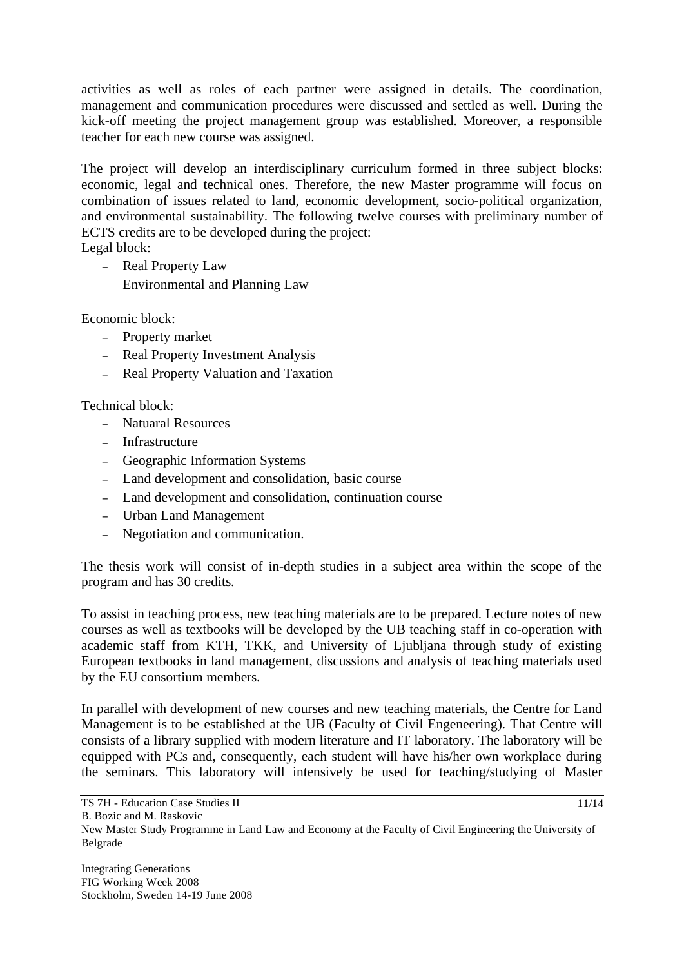activities as well as roles of each partner were assigned in details. The coordination, management and communication procedures were discussed and settled as well. During the kick-off meeting the project management group was established. Moreover, a responsible teacher for each new course was assigned.

The project will develop an interdisciplinary curriculum formed in three subject blocks: economic, legal and technical ones. Therefore, the new Master programme will focus on combination of issues related to land, economic development, socio-political organization, and environmental sustainability. The following twelve courses with preliminary number of ECTS credits are to be developed during the project:

Legal block:

- Real Property Law Environmental and Planning Law

Economic block:

- Property market
- Real Property Investment Analysis
- Real Property Valuation and Taxation

Technical block:

- Natuaral Resources
- Infrastructure
- Geographic Information Systems
- Land development and consolidation, basic course
- Land development and consolidation, continuation course
- Urban Land Management
- Negotiation and communication.

The thesis work will consist of in-depth studies in a subject area within the scope of the program and has 30 credits.

To assist in teaching process, new teaching materials are to be prepared. Lecture notes of new courses as well as textbooks will be developed by the UB teaching staff in co-operation with academic staff from KTH, TKK, and University of Ljubljana through study of existing European textbooks in land management, discussions and analysis of teaching materials used by the EU consortium members.

In parallel with development of new courses and new teaching materials, the Centre for Land Management is to be established at the UB (Faculty of Civil Engeneering). That Centre will consists of a library supplied with modern literature and IT laboratory. The laboratory will be equipped with PCs and, consequently, each student will have his/her own workplace during the seminars. This laboratory will intensively be used for teaching/studying of Master

New Master Study Programme in Land Law and Economy at the Faculty of Civil Engineering the University of Belgrade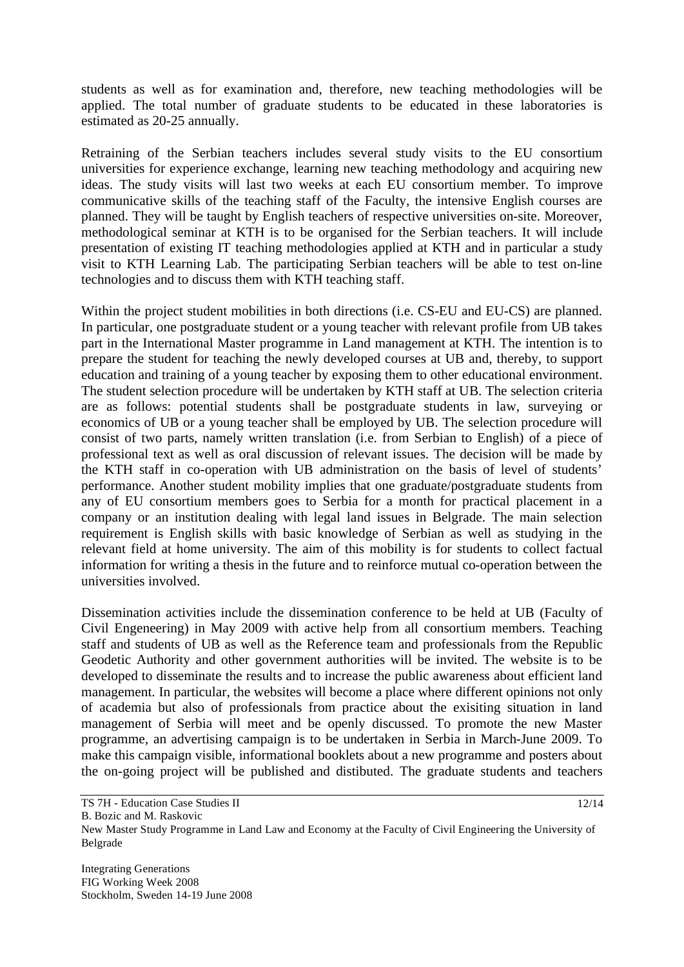students as well as for examination and, therefore, new teaching methodologies will be applied. The total number of graduate students to be educated in these laboratories is estimated as 20-25 annually.

Retraining of the Serbian teachers includes several study visits to the EU consortium universities for experience exchange, learning new teaching methodology and acquiring new ideas. The study visits will last two weeks at each EU consortium member. To improve communicative skills of the teaching staff of the Faculty, the intensive English courses are planned. They will be taught by English teachers of respective universities on-site. Moreover, methodological seminar at KTH is to be organised for the Serbian teachers. It will include presentation of existing IT teaching methodologies applied at KTH and in particular a study visit to KTH Learning Lab. The participating Serbian teachers will be able to test on-line technologies and to discuss them with KTH teaching staff.

Within the project student mobilities in both directions (i.e. CS-EU and EU-CS) are planned. In particular, one postgraduate student or a young teacher with relevant profile from UB takes part in the International Master programme in Land management at KTH. The intention is to prepare the student for teaching the newly developed courses at UB and, thereby, to support education and training of a young teacher by exposing them to other educational environment. The student selection procedure will be undertaken by KTH staff at UB. The selection criteria are as follows: potential students shall be postgraduate students in law, surveying or economics of UB or a young teacher shall be employed by UB. The selection procedure will consist of two parts, namely written translation (i.e. from Serbian to English) of a piece of professional text as well as oral discussion of relevant issues. The decision will be made by the KTH staff in co-operation with UB administration on the basis of level of students' performance. Another student mobility implies that one graduate/postgraduate students from any of EU consortium members goes to Serbia for a month for practical placement in a company or an institution dealing with legal land issues in Belgrade. The main selection requirement is English skills with basic knowledge of Serbian as well as studying in the relevant field at home university. The aim of this mobility is for students to collect factual information for writing a thesis in the future and to reinforce mutual co-operation between the universities involved.

Dissemination activities include the dissemination conference to be held at UB (Faculty of Civil Engeneering) in May 2009 with active help from all consortium members. Teaching staff and students of UB as well as the Reference team and professionals from the Republic Geodetic Authority and other government authorities will be invited. The website is to be developed to disseminate the results and to increase the public awareness about efficient land management. In particular, the websites will become a place where different opinions not only of academia but also of professionals from practice about the exisiting situation in land management of Serbia will meet and be openly discussed. To promote the new Master programme, an advertising campaign is to be undertaken in Serbia in March-June 2009. To make this campaign visible, informational booklets about a new programme and posters about the on-going project will be published and distibuted. The graduate students and teachers

<sup>12/14</sup>

New Master Study Programme in Land Law and Economy at the Faculty of Civil Engineering the University of Belgrade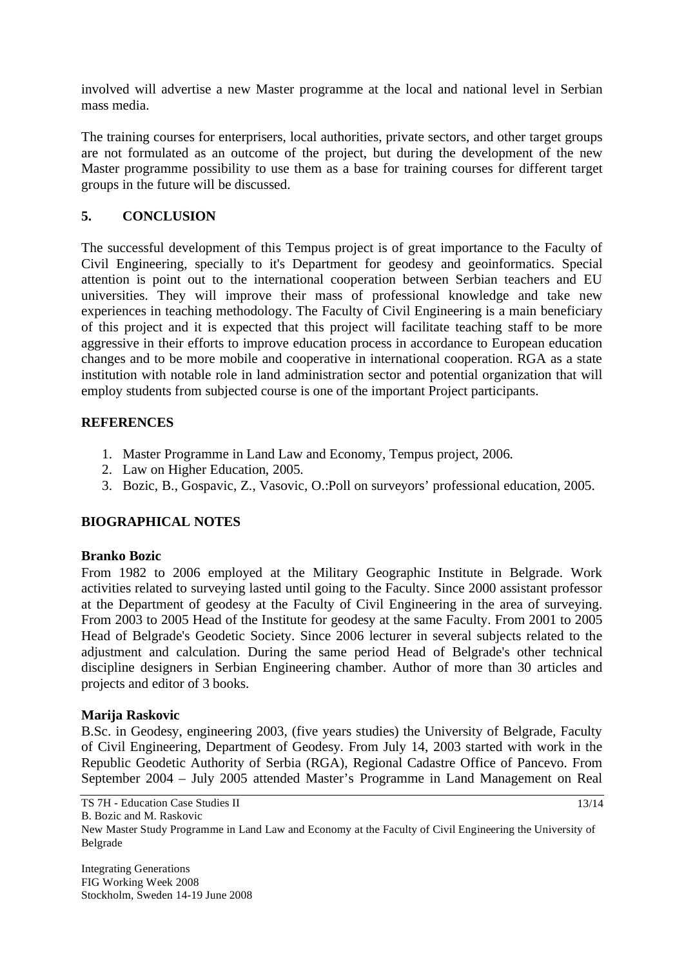involved will advertise a new Master programme at the local and national level in Serbian mass media.

The training courses for enterprisers, local authorities, private sectors, and other target groups are not formulated as an outcome of the project, but during the development of the new Master programme possibility to use them as a base for training courses for different target groups in the future will be discussed.

## **5. CONCLUSION**

The successful development of this Tempus project is of great importance to the Faculty of Civil Engineering, specially to it's Department for geodesy and geoinformatics. Special attention is point out to the international cooperation between Serbian teachers and EU universities. They will improve their mass of professional knowledge and take new experiences in teaching methodology. The Faculty of Civil Engineering is a main beneficiary of this project and it is expected that this project will facilitate teaching staff to be more aggressive in their efforts to improve education process in accordance to European education changes and to be more mobile and cooperative in international cooperation. RGA as a state institution with notable role in land administration sector and potential organization that will employ students from subjected course is one of the important Project participants.

### **REFERENCES**

- 1. Master Programme in Land Law and Economy, Tempus project, 2006.
- 2. Law on Higher Education, 2005.
- 3. Bozic, B., Gospavic, Z., Vasovic, O.:Poll on surveyors' professional education, 2005.

## **BIOGRAPHICAL NOTES**

### **Branko Bozic**

From 1982 to 2006 employed at the Military Geographic Institute in Belgrade. Work activities related to surveying lasted until going to the Faculty. Since 2000 assistant professor at the Department of geodesy at the Faculty of Civil Engineering in the area of surveying. From 2003 to 2005 Head of the Institute for geodesy at the same Faculty. From 2001 to 2005 Head of Belgrade's Geodetic Society. Since 2006 lecturer in several subjects related to the adjustment and calculation. During the same period Head of Belgrade's other technical discipline designers in Serbian Engineering chamber. Author of more than 30 articles and projects and editor of 3 books.

### **Marija Raskovic**

B.Sc. in Geodesy, engineering 2003, (five years studies) the University of Belgrade, Faculty of Civil Engineering, Department of Geodesy. From July 14, 2003 started with work in the Republic Geodetic Authority of Serbia (RGA), Regional Cadastre Office of Pancevo. From September 2004 – July 2005 attended Master's Programme in Land Management on Real

13/14

New Master Study Programme in Land Law and Economy at the Faculty of Civil Engineering the University of Belgrade